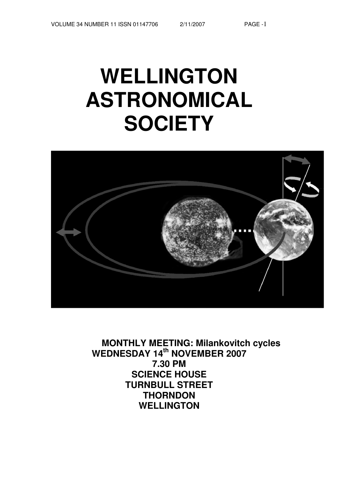# **WELLINGTON ASTRONOMICAL SOCIETY**



**MONTHLY MEETING: Milankovitch cycles WEDNESDAY 14th NOVEMBER 2007 7.30 PM SCIENCE HOUSE TURNBULL STREET THORNDON WELLINGTON**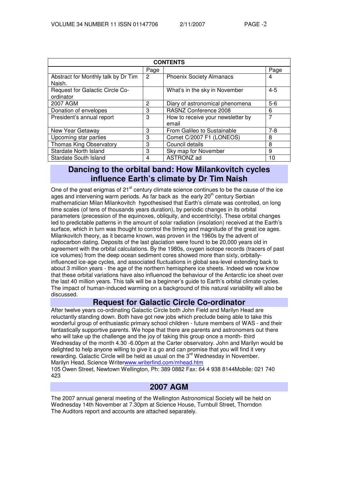| <b>CONTENTS</b>                               |      |                                            |         |  |
|-----------------------------------------------|------|--------------------------------------------|---------|--|
|                                               | Page |                                            | Page    |  |
| Abstract for Monthly talk by Dr Tim<br>Naish. | 2    | <b>Phoenix Society Almanacs</b>            | 4       |  |
| Request for Galactic Circle Co-<br>ordinator  |      | What's in the sky in November              | $4 - 5$ |  |
| 2007 AGM                                      | 2    | Diary of astronomical phenomena            | $5-6$   |  |
| Donation of envelopes                         | 3    | RASNZ Conference 2008                      | 6       |  |
| President's annual report                     | 3    | How to receive your newsletter by<br>email | 7       |  |
| New Year Getaway                              | 3    | From Galileo to Sustainable                | $7-8$   |  |
| Upcoming star parties                         | 3    | Comet C/2007 F1 (LONEOS)                   | 8       |  |
| <b>Thomas King Observatory</b>                | 3    | Council details                            | 8       |  |
| <b>Stardate North Island</b>                  | 3    | Sky map for November                       | 9       |  |
| <b>Stardate South Island</b>                  | 4    | ASTRONZ ad                                 | 10      |  |

# **Dancing to the orbital band: How Milankovitch cycles influence Earth's climate by Dr Tim Naish**

One of the great enigmas of 21<sup>st</sup> century climate science continues to be the cause of the ice ages and intervening warm periods. As far back as the early 20<sup>th</sup> century Serbian mathematician Milan Milankovitch hypothesised that Earth's climate was controlled, on long time scales (of tens of thousands years duration), by periodic changes in its orbital parameters (precession of the equinoxes, obliquity, and eccentricity). These orbital changes led to predictable patterns in the amount of solar radiation (insolation) received at the Earth's surface, which in turn was thought to control the timing and magnitude of the great ice ages. Milankovitch theory, as it became known, was proven in the 1960s by the advent of radiocarbon dating. Deposits of the last glaciation were found to be 20,000 years old in agreement with the orbital calculations. By the 1980s, oxygen isotope records (tracers of past ice volumes) from the deep ocean sediment cores showed more than sixty, orbitallyinfluenced ice-age cycles, and associated fluctuations in global sea-level extending back to about 3 million years - the age of the northern hemisphere ice sheets. Indeed we now know that these orbital variations have also influenced the behaviour of the Antarctic ice sheet over the last 40 million years. This talk will be a beginner's guide to Earth's orbital climate cycles. The impact of human-induced warming on a background of this natural variability will also be discussed.

# **Request for Galactic Circle Co-ordinator**

After twelve years co-ordinating Galactic Circle both John Field and Marilyn Head are reluctantly standing down. Both have got new jobs which preclude being able to take this wonderful group of enthusiastic primary school children - future members of WAS - and their fantastically supportive parents. We hope that there are parents and astronomers out there who will take up the challenge and the joy of taking this group once a month- third Wednesday of the month 4.30 -6.00pm at the Carter observatory. John and Marilyn would be delighted to help anyone willing to give it a go and can promise that you will find it very rewarding. Galactic Circle will be held as usual on the  $3<sup>rd</sup>$  Wednesday in November. Marilyn Head, Science Writerwww.writerfind.com/mhead.htm

105 Owen Street, Newtown Wellington, Ph: 389 0882 Fax: 64 4 938 8144Mobile: 021 740 423

# **2007 AGM**

The 2007 annual general meeting of the Wellington Astronomical Society will be held on Wednesday 14th November at 7.30pm at Science House, Turnbull Street, Thorndon The Auditors report and accounts are attached separately.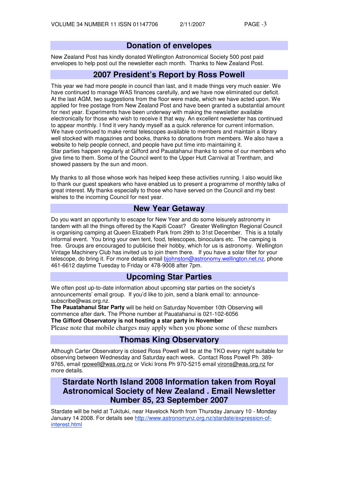# **Donation of envelopes**

New Zealand Post has kindly donated Wellington Astronomical Society 500 post paid envelopes to help post out the newsletter each month. Thanks to New Zealand Post.

# **2007 President's Report by Ross Powell**

This year we had more people in council than last, and it made things very much easier. We have continued to manage WAS finances carefully, and we have now eliminated our deficit. At the last AGM, two suggestions from the floor were made, which we have acted upon. We applied for free postage from New Zealand Post and have been granted a substantial amount for next year. Experiments have been underway with making the newsletter available electronically for those who wish to receive it that way. An excellent newsletter has continued to appear monthly. I find it very handy myself as a quick reference for current information. We have continued to make rental telescopes available to members and maintain a library well stocked with magazines and books, thanks to donations from members. We also have a website to help people connect, and people have put time into maintaining it. Star parties happen regularly at Gifford and Pauatahanui thanks to some of our members who give time to them. Some of the Council went to the Upper Hutt Carnival at Trentham, and showed passers by the sun and moon.

My thanks to all those whose work has helped keep these activities running. I also would like to thank our guest speakers who have enabled us to present a programme of monthly talks of great interest. My thanks especially to those who have served on the Council and my best wishes to the incoming Council for next year.

## **New Year Getaway**

Do you want an opportunity to escape for New Year and do some leisurely astronomy in tandem with all the things offered by the Kapiti Coast? Greater Wellington Regional Council is organising camping at Queen Elizabeth Park from 29th to 31st December. This is a totally informal event. You bring your own tent, food, telescopes, binoculars etc. The camping is free. Groups are encouraged to publicise their hobby, which for us is astronomy. Wellington Vintage Machinery Club has invited us to join them there. If you have a solar filter for your telescope, do bring it. For more details email biohnston@astronomy.wellington.net.nz, phone 461-6612 daytime Tuesday to Friday or 478-9008 after 7pm.

# **Upcoming Star Parties**

We often post up-to-date information about upcoming star parties on the society's announcements' email group. If you'd like to join, send a blank email to: announcesubscribe@was.org.nz.

**The Pauatahanui Star Party** will be held on Saturday November 10th Observing will commence after dark. The Phone number at Pauatahanui is 021-102-6056 **The Gifford Observatory is not hosting a star party in November**

Please note that mobile charges may apply when you phone some of these numbers

## **Thomas King Observatory**

Although Carter Observatory is closed Ross Powell will be at the TKO every night suitable for observing between Wednesday and Saturday each week. Contact Ross Powell Ph 389- 9765, email rpowell@was.org.nz or Vicki Irons Ph 970-5215 email virons@was.org.nz for more details.

# **Stardate North Island 2008 Information taken from Royal Astronomical Society of New Zealand . Email Newsletter Number 85, 23 September 2007**

Stardate will be held at Tukituki, near Havelock North from Thursday January 10 - Monday January 14 2008. For details see http://www.astronomynz.org.nz/stardate/expression-ofinterest.html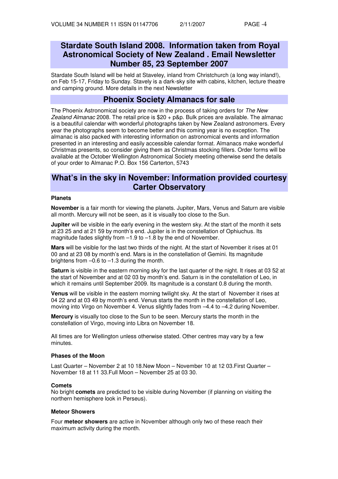# **Stardate South Island 2008. Information taken from Royal Astronomical Society of New Zealand . Email Newsletter Number 85, 23 September 2007**

Stardate South Island will be held at Staveley, inland from Christchurch (a long way inland!), on Feb 15-17, Friday to Sunday. Stavely is a dark-sky site with cabins, kitchen, lecture theatre and camping ground. More details in the next Newsletter

## **Phoenix Society Almanacs for sale**

The Phoenix Astronomical society are now in the process of taking orders for The New Zealand Almanac 2008. The retail price is  $$20 + p&p$ . Bulk prices are available. The almanac is a beautiful calendar with wonderful photographs taken by New Zealand astronomers. Every year the photographs seem to become better and this coming year is no exception. The almanac is also packed with interesting information on astronomical events and information presented in an interesting and easily accessible calendar format. Almanacs make wonderful Christmas presents, so consider giving them as Christmas stocking fillers. Order forms will be available at the October Wellington Astronomical Society meeting otherwise send the details of your order to Almanac P.O. Box 156 Carterton, 5743

## **What's in the sky in November: Information provided courtesy Carter Observatory**

## **Planets**

**November** is a fair month for viewing the planets. Jupiter, Mars, Venus and Saturn are visible all month. Mercury will not be seen, as it is visually too close to the Sun.

**Jupiter** will be visible in the early evening in the western sky. At the start of the month it sets at 23 25 and at 21 59 by month's end. Jupiter is in the constellation of Ophiuchus. Its magnitude fades slightly from –1.9 to –1.8 by the end of November.

**Mars** will be visible for the last two thirds of the night. At the start of November it rises at 01 00 and at 23 08 by month's end. Mars is in the constellation of Gemini. Its magnitude brightens from –0.6 to –1.3 during the month.

**Saturn** is visible in the eastern morning sky for the last quarter of the night. It rises at 03 52 at the start of November and at 02 03 by month's end. Saturn is in the constellation of Leo, in which it remains until September 2009. Its magnitude is a constant 0.8 during the month.

**Venus** will be visible in the eastern morning twilight sky. At the start of November it rises at 04 22 and at 03 49 by month's end. Venus starts the month in the constellation of Leo, moving into Virgo on November 4. Venus slightly fades from -4.4 to -4.2 during November.

**Mercury** is visually too close to the Sun to be seen. Mercury starts the month in the constellation of Virgo, moving into Libra on November 18.

All times are for Wellington unless otherwise stated. Other centres may vary by a few minutes.

### **Phases of the Moon**

Last Quarter – November 2 at 10 18.New Moon – November 10 at 12 03.First Quarter – November 18 at 11 33.Full Moon – November 25 at 03 30.

### **Comets**

No bright **comets** are predicted to be visible during November (if planning on visiting the northern hemisphere look in Perseus).

### **Meteor Showers**

Four **meteor showers** are active in November although only two of these reach their maximum activity during the month.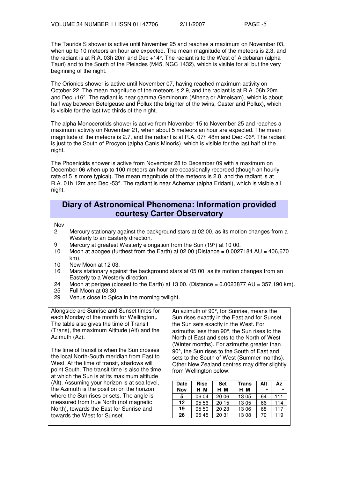The Taurids S shower is active until November 25 and reaches a maximum on November 03, when up to 10 meteors an hour are expected. The mean magnitude of the meteors is 2.3, and the radiant is at R.A. 03h 20m and Dec +14°. The radiant is to the West of Aldebaran (alpha Tauri) and to the South of the Pleiades (M45, NGC 1432), which is visible for all but the very beginning of the night.

The Orionids shower is active until November 07, having reached maximum activity on October 22. The mean magnitude of the meteors is 2.9, and the radiant is at R.A. 06h 20m and Dec +16°. The radiant is near gamma Geminorum (Alhena or Almeisam), which is about half way between Betelgeuse and Pollux (the brighter of the twins, Caster and Pollux), which is visible for the last two thirds of the night.

The alpha Monocerotids shower is active from November 15 to November 25 and reaches a maximum activity on November 21, when about 5 meteors an hour are expected. The mean magnitude of the meteors is 2.7, and the radiant is at R.A. 07h 48m and Dec -06°. The radiant is just to the South of Procyon (alpha Canis Minoris), which is visible for the last half of the night.

The Phoenicids shower is active from November 28 to December 09 with a maximum on December 06 when up to 100 meteors an hour are occasionally recorded (though an hourly rate of 5 is more typical). The mean magnitude of the meteors is 2.8, and the radiant is at R.A. 01h 12m and Dec -53°. The radiant is near Achernar (alpha Eridani), which is visible all night.

## **Diary of Astronomical Phenomena: Information provided courtesy Carter Observatory**

Nov

- 2 Mercury stationary against the background stars at 02 00, as its motion changes from a Westerly to an Easterly direction.
- 9 Mercury at greatest Westerly elongation from the Sun  $(19^{\circ})$  at 10 00.<br>10 Moon at apogee (furthest from the Earth) at 02 00 (Distance = 0.0027
- Moon at apogee (furthest from the Earth) at 02 00 (Distance =  $0.0027184$  AU =  $406,670$ km).
- 10 New Moon at 12 03.
- 16 Mars stationary against the background stars at 05 00, as its motion changes from an Easterly to a Westerly direction.
- 24 Moon at perigee (closest to the Earth) at 13 00. (Distance = 0.0023877 AU = 357,190 km).<br>25 Full Moon at 03 30
- 25 Full Moon at 03 30
- 29 Venus close to Spica in the morning twilight.

Alongside are Sunrise and Sunset times for each Monday of the month for Wellington,. The table also gives the time of Transit (Trans), the maximum Altitude (Alt) and the Azimuth (Az).

The time of transit is when the Sun crosses the local North-South meridian from East to West. At the time of transit, shadows will point South. The transit time is also the time at which the Sun is at its maximum altitude (Alt). Assuming your horizon is at sea level, the Azimuth is the position on the horizon where the Sun rises or sets. The angle is measured from true North (not magnetic North), towards the East for Sunrise and towards the West for Sunset.

An azimuth of 90°, for Sunrise, means the Sun rises exactly in the East and for Sunset the Sun sets exactly in the West. For azimuths less than 90°, the Sun rises to the North of East and sets to the North of West (Winter months). For azimuths greater than 90°, the Sun rises to the South of East and sets to the South of West (Summer months). Other New Zealand centres may differ slightly from Wellington below.

| Date | <b>Rise</b> | <b>Set</b> | Trans | Alt | Az  |
|------|-------------|------------|-------|-----|-----|
| Nov  | н м         | н м        | н м   | ۰   | ۰   |
| 5    | 06 04       | 20 06      | 13 05 | 64  | 111 |
| 12   | 05 56       | 20 15      | 13 05 | 66  | 114 |
| 19   | 05 50       | 20 23      | 13 06 | 68  | 117 |
| 26   | 0545        | 20 31      | 13 08 | 70  | 119 |
|      |             |            |       |     |     |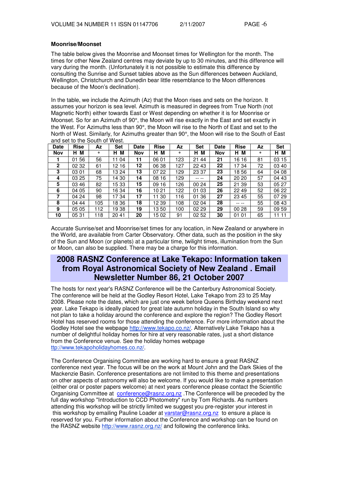## **Moonrise/Moonset**

The table below gives the Moonrise and Moonset times for Wellington for the month. The times for other New Zealand centres may deviate by up to 30 minutes, and this difference will vary during the month. (Unfortunately it is not possible to estimate this difference by consulting the Sunrise and Sunset tables above as the Sun differences between Auckland, Wellington, Christchurch and Dunedin bear little resemblance to the Moon differences because of the Moon's declination).

In the table, we include the Azimuth (Az) that the Moon rises and sets on the horizon. It assumes your horizon is sea level. Azimuth is measured in degrees from True North (not Magnetic North) either towards East or West depending on whether it is for Moonrise or Moonset. So for an Azimuth of 90°, the Moon will rise exactly in the East and set exactly in the West. For Azimuths less than 90°, the Moon will rise to the North of East and set to the North of West. Similarly, for Azimuths greater than 90°, the Moon will rise to the South of East and set to the South of West.

| <b>Date</b>  | <b>Rise</b> | Αz  | <b>Set</b> | Date       | <b>Rise</b> | Αz  | Set       | <b>Date</b> | <b>Rise</b> | Αz        | <b>Set</b> |
|--------------|-------------|-----|------------|------------|-------------|-----|-----------|-------------|-------------|-----------|------------|
| <b>Nov</b>   | M<br>н      | ۰   | м<br>н     | <b>Nov</b> | н<br>М      | ۰   | M<br>н    | Nov         | М<br>Н.     | $\bullet$ | M<br>н     |
|              | 56<br>01    | 56  | 11 04      | 11         | 06 01       | 123 | 21<br>44  | 21          | 16 16       | 81        | 03<br>15   |
| $\mathbf{2}$ | 02 32       | 61  | 12 16      | 12         | 06 38       | 127 | 22 43     | 22          | 1734        | 72        | 03 40      |
| 3            | 03 01       | 68  | 13 24      | 13         | 07 22       | 129 | 23 37     | 23          | 1856        | 64        | 04 08      |
| 4            | 03 25       | 75  | 14 30      | 14         | 16<br>08    | 129 | -- --     | 24          | 20 20       | 57        | 04 43      |
| 5            | 46<br>03    | 82  | 1533       | 15         | 09<br>16    | 126 | 00 24     | 25          | 21 39       | 53        | 05 27      |
| 6            | 04 05       | 90  | 16 34      | 16         | 10 21       | 122 | -03<br>01 | 26          | 22 49       | 52        | 06 22      |
|              | 04 24       | 98  | 1734       | 17         | 30<br>11    | 116 | 36<br>01  | 27          | 23 45       | 55        | 07 29      |
| 8            | 04 44       | 105 | 18 36      | 18         | 12 39       | 108 | 02 04     | 28          | -- --       | 55        | 08 43      |
| 9            | 05 05       | 112 | 1938       | 19         | 1350        | 100 | 02 29     | 29          | 00 28       | 59        | 09 59      |
| 10           | 0531        | 118 | 2041       | 20         | 1502        | 91  | 02 52     | 30          | 01 01       | 65        | 11<br>11   |

Accurate Sunrise/set and Moonrise/set times for any location, in New Zealand or anywhere in the World, are available from Carter Observatory. Other data, such as the position in the sky of the Sun and Moon (or planets) at a particular time, twilight times, illumination from the Sun or Moon, can also be supplied. There may be a charge for this information.

# **2008 RASNZ Conference at Lake Tekapo: Information taken from Royal Astronomical Society of New Zealand . Email Newsletter Number 86, 21 October 2007**

The hosts for next year's RASNZ Conference will be the Canterbury Astronomical Society. The conference will be held at the Godley Resort Hotel, Lake Tekapo from 23 to 25 May 2008. Please note the dates, which are just one week before Queens Birthday weekend next year. Lake Tekapo is ideally placed for great late autumn holiday in the South Island so why not plan to take a holiday around the conference and explore the region? The Godley Resort Hotel has reserved rooms for those attending the conference. For more information about the Godley Hotel see the webpage http://www.tekapo.co.nz/. Alternatively Lake Tekapo has a number of delightful holiday homes for hire at very reasonable rates, just a short distance from the Conference venue. See the holiday homes webpage ttp://www.tekapoholidayhomes.co.nz/.

The Conference Organising Committee are working hard to ensure a great RASNZ conference next year. The focus will be on the work at Mount John and the Dark Skies of the Mackenzie Basin. Conference presentations are not limited to this theme and presentations on other aspects of astronomy will also be welcome. If you would like to make a presentation (either oral or poster papers welcome) at next years conference please contact the Scientific Organising Committee at conference@rasnz.org.nz . The Conference will be preceded by the full day workshop "Introduction to CCD Photometry" run by Tom Richards. As numbers attending this workshop will be strictly limited we suggest you pre-register your interest in this workshop by emailing Pauline Loader at varstar@rasnz.org.nz to ensure a place is reserved for you. Further information about the Conference and workshop can be found on the RASNZ website http://www.rasnz.org.nz/ and following the conference links.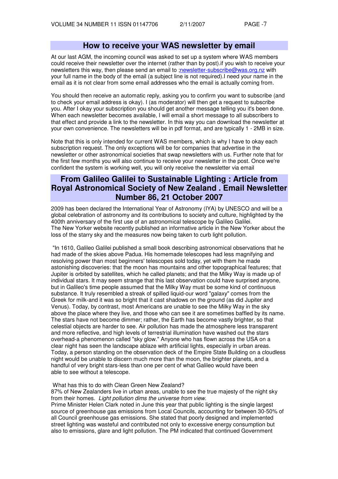## **How to receive your WAS newsletter by email**

At our last AGM, the incoming council was asked to set up a system where WAS members could receive their newsletter over the internet (rather than by post).if you wish to receive your newsletters this way, then please send an email to ;newsletter-subscribe@was.org.nz with your full name in the body of the email (a subject line is not required).I need your name in the email as it is not clear from some email addresses who the email is actually coming from.

You should then receive an automatic reply, asking you to confirm you want to subscribe (and to check your email address is okay). I (as moderator) will then get a request to subscribe you. After I okay your subscription you should get another message telling you it's been done. When each newsletter becomes available, I will email a short message to all subscribers to that effect and provide a link to the newsletter. In this way you can download the newsletter at your own convenience. The newsletters will be in pdf format, and are typically 1 - 2MB in size.

Note that this is only intended for current WAS members, which is why I have to okay each subscription request. The only exceptions will be for companies that advertise in the newsletter or other astronomical societies that swap newsletters with us. Further note that for the first few months you will also continue to receive your newsletter in the post. Once we're confident the system is working well, you will only receive the newsletter via email

# **From Galileo Galilei to Sustainable Lighting : Article from Royal Astronomical Society of New Zealand . Email Newsletter Number 86, 21 October 2007**

2009 has been declared the International Year of Astronomy (IYA) by UNESCO and will be a global celebration of astronomy and its contributions to society and culture, highlighted by the 400th anniversary of the first use of an astronomical telescope by Galileo Galilei. The New Yorker website recently published an informative article in the New Yorker about the loss of the starry sky and the measures now being taken to curb light pollution.

"In 1610, Galileo Galilei published a small book describing astronomical observations that he had made of the skies above Padua. His homemade telescopes had less magnifying and resolving power than most beginners' telescopes sold today, yet with them he made astonishing discoveries: that the moon has mountains and other topographical features; that Jupiter is orbited by satellites, which he called planets; and that the Milky Way is made up of individual stars. It may seem strange that this last observation could have surprised anyone, but in Galileo's time people assumed that the Milky Way must be some kind of continuous substance. It truly resembled a streak of spilled liquid-our word "galaxy" comes from the Greek for milk-and it was so bright that it cast shadows on the ground (as did Jupiter and Venus). Today, by contrast, most Americans are unable to see the Milky Way in the sky above the place where they live, and those who can see it are sometimes baffled by its name. The stars have not become dimmer; rather, the Earth has become vastly brighter, so that celestial objects are harder to see. Air pollution has made the atmosphere less transparent and more reflective, and high levels of terrestrial illumination have washed out the stars overhead-a phenomenon called "sky glow." Anyone who has flown across the USA on a clear night has seen the landscape ablaze with artificial lights, especially in urban areas. Today, a person standing on the observation deck of the Empire State Building on a cloudless night would be unable to discern much more than the moon, the brighter planets, and a handful of very bright stars-less than one per cent of what Galileo would have been able to see without a telescope.

## What has this to do with Clean Green New Zealand?

87% of New Zealanders live in urban areas, unable to see the true majesty of the night sky from their homes. Light pollution dims the universe from view.

Prime Minister Helen Clark noted in June this year that public lighting is the single largest source of greenhouse gas emissions from Local Councils, accounting for between 30-50% of all Council greenhouse gas emissions. She stated that poorly designed and implemented street lighting was wasteful and contributed not only to excessive energy consumption but also to emissions, glare and light pollution. The PM indicated that continued Government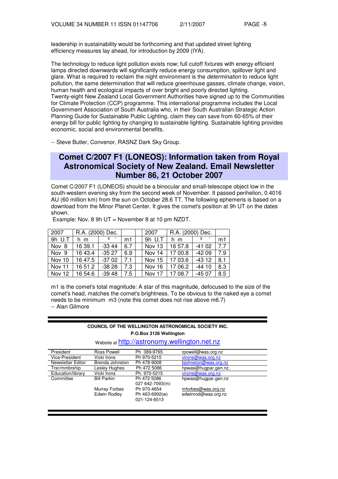leadership in sustainability would be forthcoming and that updated street lighting efficiency measures lay ahead, for introduction by 2009 (IYA).

The technology to reduce light pollution exists now; full cutoff fixtures with energy efficient lamps directed downwards will significantly reduce energy consumption, spillover light and glare. What is required to reclaim the night environment is the *determination* to reduce light pollution, the same determination that will reduce greenhouse gasses, climate change, vision, human health and ecological impacts of over bright and poorly directed lighting. Twenty-eight New Zealand Local Government Authorities have signed up to the Communities for Climate Protection (CCP) programme. This international programme includes the Local Government Association of South Australia who, in their South Australian Strategic Action Planning Guide for Sustainable Public Lighting, claim they can save from 60-65% of their energy bill for public lighting by changing to sustainable lighting. Sustainable lighting provides economic, social and environmental benefits.

-- Steve Butler, Convenor, RASNZ Dark Sky Group.

# **Comet C/2007 F1 (LONEOS): Information taken from Royal Astronomical Society of New Zealand. Email Newsletter Number 86, 21 October 2007**

Comet C/2007 F1 (LONEOS) should be a binocular and small-telescope object low in the south-western evening sky from the second week of November. It passed perihelion, 0.4016 AU (60 million km) from the sun on October 28.6 TT. The following ephemeris is based on a download from the Minor Planet Center. It gives the comet's position at 9h UT on the dates shown.

|  |  | Example: Nov. 8 9h UT = November 8 at 10 pm NZDT. |  |
|--|--|---------------------------------------------------|--|
|--|--|---------------------------------------------------|--|

| 2007     | R.A. (2000) Dec.                |                 |     | 2007             | R.A. (2000) Dec. |              |     |
|----------|---------------------------------|-----------------|-----|------------------|------------------|--------------|-----|
| 9h U.T   | h m                             | $\circ$ $\circ$ | m1  | $9h$ U.T         | $\ln m$          | $\mathbf{Q}$ | m1  |
| Nov 8    | 16 39.1                         | $-33.44$        | 6.7 | Nov 13           | 1657.8           | -41 02       | 77  |
| Nov 9    | 16 43.4                         | $-3527$ 6.9     |     | Nov 14           | 11700.8          | $-4209$      | 7.9 |
| Nov 10   | 16 47.5                         | $-3702$         | 7.1 | Nov 15 17 03.6   |                  | $-4312$      | 8.1 |
| l Nov 11 | 16 51.2                         | -38 28          | 7.3 | Nov 16           | 1706.2           | $-4410$      | 8.3 |
|          | Nov 12   16 54.6   -39 48   7.5 |                 |     | Nov 17   17 08.7 |                  | -45 07       | 8.5 |

m1 is the comet's total magnitude: A star of this magnitude, defocused to the size of the comet's head, matches the comet's brightness. To be obvious to the naked eye a comet needs to be minimum m3 (note this comet does not rise above m6.7) -- Alan Gilmore

#### **COUNCIL OF THE WELLINGTON ASTRONOMICAL SOCIETY INC. P.O.Box 3126 Wellington**

Website at http://astronomy.wellington.net.nz

| President         | Ross Powell        | Ph 389-9765     | rpowell@was.org.nz   |
|-------------------|--------------------|-----------------|----------------------|
| Vice-President    | Vicki Irons        | Ph 970-5215     | virons@was.org.nz    |
| Newsletter Editor | Brenda Johnston    | Ph 478-9008     | bjohnston@was.org.nz |
| Trsr/mmbrship     | Lesley Hughes      | Ph 472 5086     | hpwas@hugpar.gen.nz, |
| Education/library | Vicki Irons        | Ph. 970-5215    | virons@was.org.nz    |
| Committee         | <b>Bill Parkin</b> | Ph 472 5086     | hpwas@hugpar.gen.nz  |
|                   |                    | 027 642-7093(m) |                      |
|                   | Murray Forbes      | Ph 970-4654     | mforbes@was.org.nz   |
|                   | Edwin Rodley       | Ph 463-6992(w)  | edwinrod@was.org.nz  |
|                   |                    | 021-124-6513    |                      |
|                   |                    |                 |                      |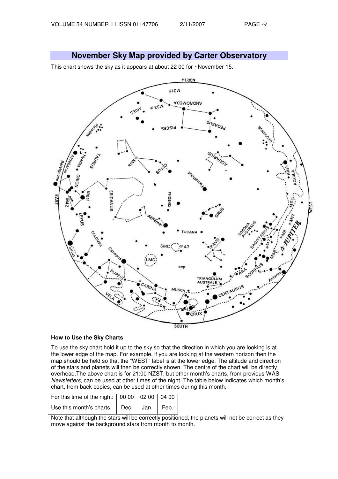**November Sky Map provided by Carter Observatory** 

This chart shows the sky as it appears at about 22 00 for ~November 15.



## **How to Use the Sky Charts**

To use the sky chart hold it up to the sky so that the direction in which you are looking is at the lower edge of the map. For example, if you are looking at the western horizon then the map should be held so that the "WEST" label is at the lower edge. The altitude and direction of the stars and planets will then be correctly shown. The centre of the chart will be directly overhead.The above chart is for 21:00 NZST, but other month's charts, from previous WAS Newsletters, can be used at other times of the night. The table below indicates which month's chart, from back copies, can be used at other times during this month.

| For this time of the night: 00 00 02 00 04 00 |  |  |
|-----------------------------------------------|--|--|
| Use this month's charts:   Dec.   Jan.   Feb. |  |  |

Note that although the stars will be correctly positioned, the planets will not be correct as they move against the background stars from month to month.